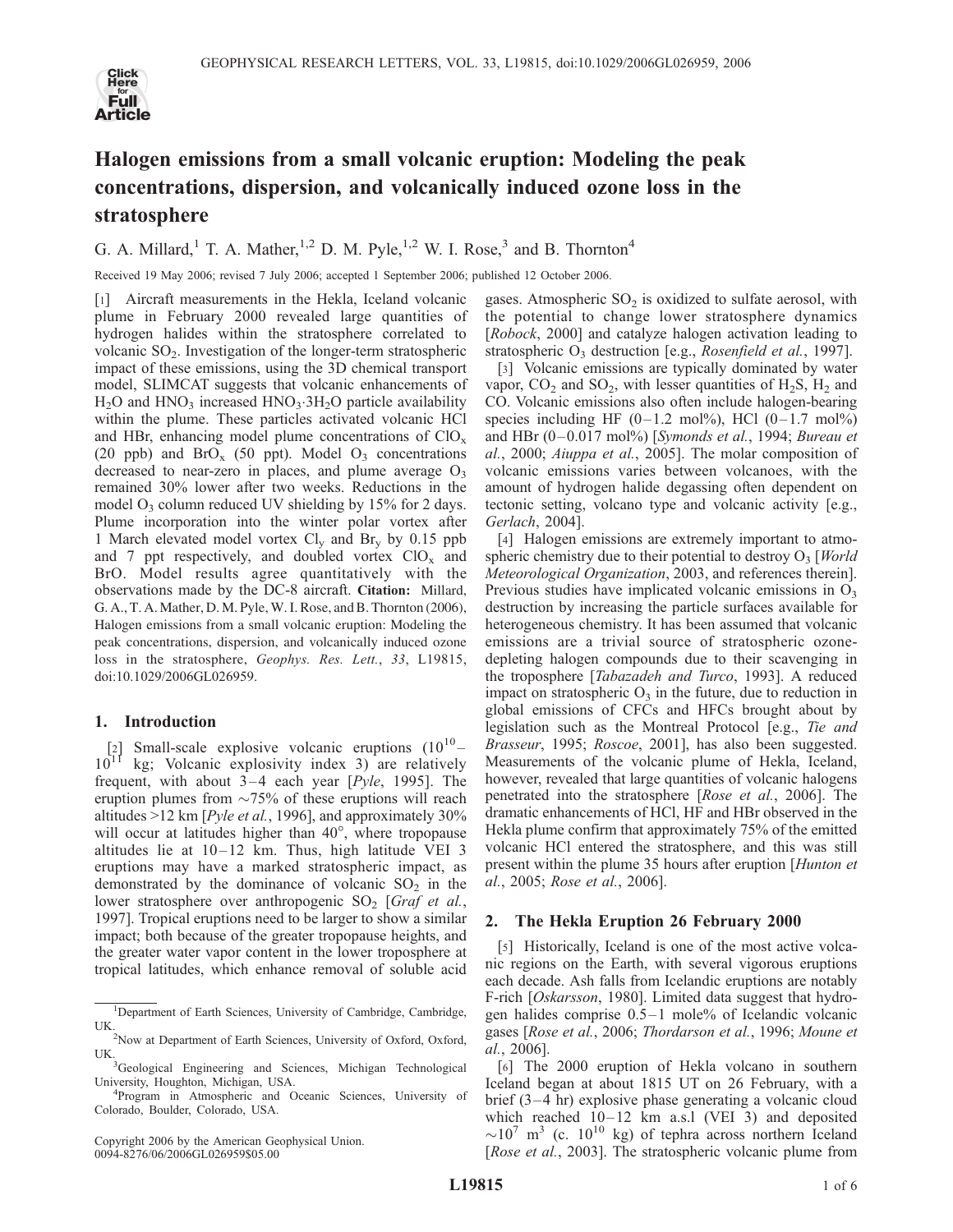

# Halogen emissions from a small volcanic eruption: Modeling the peak concentrations, dispersion, and volcanically induced ozone loss in the stratosphere

G. A. Millard,<sup>1</sup> T. A. Mather,<sup>1,2</sup> D. M. Pyle,<sup>1,2</sup> W. I. Rose,<sup>3</sup> and B. Thornton<sup>4</sup>

Received 19 May 2006; revised 7 July 2006; accepted 1 September 2006; published 12 October 2006.

[1] Aircraft measurements in the Hekla, Iceland volcanic plume in February 2000 revealed large quantities of hydrogen halides within the stratosphere correlated to volcanic  $SO_2$ . Investigation of the longer-term stratospheric impact of these emissions, using the 3D chemical transport model, SLIMCAT suggests that volcanic enhancements of  $H<sub>2</sub>O$  and  $HNO<sub>3</sub>$  increased  $HNO<sub>3</sub>·3H<sub>2</sub>O$  particle availability within the plume. These particles activated volcanic HCl and HBr, enhancing model plume concentrations of  $ClO<sub>x</sub>$ (20 ppb) and  $BrO<sub>x</sub>$  (50 ppt). Model  $O<sub>3</sub>$  concentrations decreased to near-zero in places, and plume average  $O_3$ remained 30% lower after two weeks. Reductions in the model  $O_3$  column reduced UV shielding by 15% for 2 days. Plume incorporation into the winter polar vortex after 1 March elevated model vortex  $Cl_v$  and Br<sub>y</sub> by 0.15 ppb and 7 ppt respectively, and doubled vortex  $ClO<sub>x</sub>$  and BrO. Model results agree quantitatively with the observations made by the DC-8 aircraft. Citation: Millard, G. A., T. A. Mather, D. M. Pyle, W. I. Rose, and B. Thornton (2006), Halogen emissions from a small volcanic eruption: Modeling the peak concentrations, dispersion, and volcanically induced ozone loss in the stratosphere, Geophys. Res. Lett., 33, L19815, doi:10.1029/2006GL026959.

# 1. Introduction

[2] Small-scale explosive volcanic eruptions  $(10^{10} 10^{11}$  kg; Volcanic explosivity index 3) are relatively frequent, with about  $3-4$  each year [*Pyle*, 1995]. The eruption plumes from  $\sim 75\%$  of these eruptions will reach altitudes  $>12$  km [*Pyle et al.*, 1996], and approximately 30% will occur at latitudes higher than  $40^{\circ}$ , where tropopause altitudes lie at  $10-12$  km. Thus, high latitude VEI 3 eruptions may have a marked stratospheric impact, as demonstrated by the dominance of volcanic  $SO_2$  in the lower stratosphere over anthropogenic  $SO_2$  [*Graf et al.*, 1997]. Tropical eruptions need to be larger to show a similar impact; both because of the greater tropopause heights, and the greater water vapor content in the lower troposphere at tropical latitudes, which enhance removal of soluble acid

Copyright 2006 by the American Geophysical Union. 0094-8276/06/2006GL026959\$05.00

gases. Atmospheric  $SO_2$  is oxidized to sulfate aerosol, with the potential to change lower stratosphere dynamics [Robock, 2000] and catalyze halogen activation leading to stratospheric  $O_3$  destruction [e.g., *Rosenfield et al.*, 1997].

[3] Volcanic emissions are typically dominated by water vapor,  $CO_2$  and  $SO_2$ , with lesser quantities of  $H_2S$ ,  $H_2$  and CO. Volcanic emissions also often include halogen-bearing species including HF  $(0-1.2 \text{ mol\%})$ , HCl  $(0-1.7 \text{ mol\%})$ and HBr  $(0-0.017 \text{ mol%)}$  [Symonds et al., 1994; Bureau et al., 2000; Aiuppa et al., 2005]. The molar composition of volcanic emissions varies between volcanoes, with the amount of hydrogen halide degassing often dependent on tectonic setting, volcano type and volcanic activity [e.g., Gerlach, 2004].

[4] Halogen emissions are extremely important to atmospheric chemistry due to their potential to destroy  $O_3$  [*World* Meteorological Organization, 2003, and references therein]. Previous studies have implicated volcanic emissions in  $O_3$ destruction by increasing the particle surfaces available for heterogeneous chemistry. It has been assumed that volcanic emissions are a trivial source of stratospheric ozonedepleting halogen compounds due to their scavenging in the troposphere [Tabazadeh and Turco, 1993]. A reduced impact on stratospheric  $O_3$  in the future, due to reduction in global emissions of CFCs and HFCs brought about by legislation such as the Montreal Protocol [e.g., Tie and Brasseur, 1995; Roscoe, 2001], has also been suggested. Measurements of the volcanic plume of Hekla, Iceland, however, revealed that large quantities of volcanic halogens penetrated into the stratosphere [Rose et al., 2006]. The dramatic enhancements of HCl, HF and HBr observed in the Hekla plume confirm that approximately 75% of the emitted volcanic HCl entered the stratosphere, and this was still present within the plume 35 hours after eruption [Hunton et al., 2005; Rose et al., 2006].

# 2. The Hekla Eruption 26 February 2000

[5] Historically, Iceland is one of the most active volcanic regions on the Earth, with several vigorous eruptions each decade. Ash falls from Icelandic eruptions are notably F-rich [Oskarsson, 1980]. Limited data suggest that hydrogen halides comprise  $0.5-1$  mole% of Icelandic volcanic gases [Rose et al., 2006; Thordarson et al., 1996; Moune et al., 2006].

[6] The 2000 eruption of Hekla volcano in southern Iceland began at about 1815 UT on 26 February, with a brief  $(3-4 \text{ hr})$  explosive phase generating a volcanic cloud which reached  $10-12$  km a.s.l (VEI 3) and deposited  $\sim$ 10<sup>7</sup> m<sup>3</sup> (c. 10<sup>10</sup> kg) of tephra across northern Iceland [Rose et al., 2003]. The stratospheric volcanic plume from

<sup>&</sup>lt;sup>1</sup>Department of Earth Sciences, University of Cambridge, Cambridge, **UK** 

<sup>&</sup>lt;sup>2</sup>Now at Department of Earth Sciences, University of Oxford, Oxford, UK.

<sup>&</sup>lt;sup>3</sup>Geological Engineering and Sciences, Michigan Technological University, Houghton, Michigan, USA. <sup>4</sup>

<sup>&</sup>lt;sup>4</sup>Program in Atmospheric and Oceanic Sciences, University of Colorado, Boulder, Colorado, USA.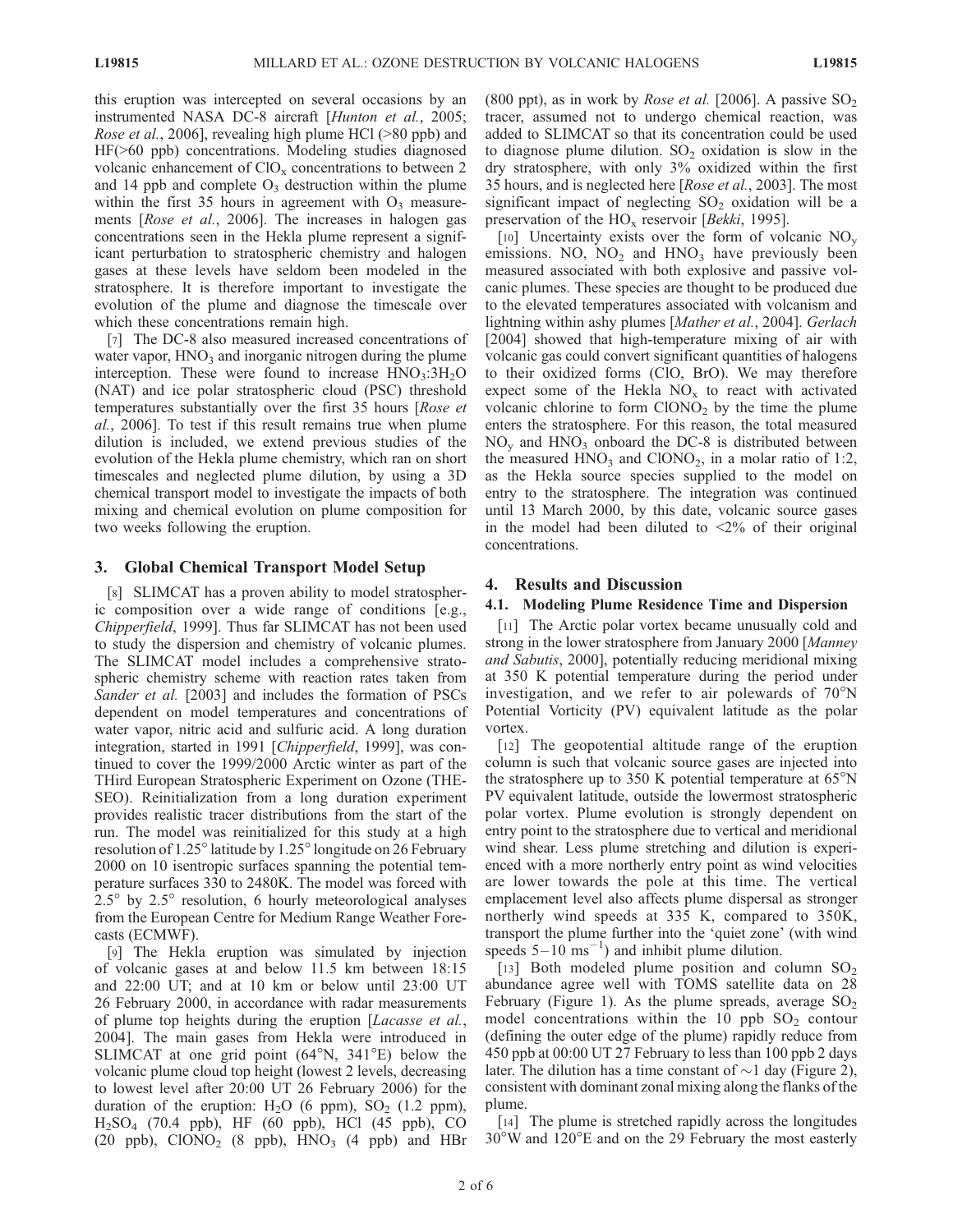this eruption was intercepted on several occasions by an instrumented NASA DC-8 aircraft [Hunton et al., 2005; Rose et al., 2006], revealing high plume HCl (>80 ppb) and HF(>60 ppb) concentrations. Modeling studies diagnosed volcanic enhancement of  $CIO<sub>x</sub>$  concentrations to between 2 and 14 ppb and complete  $O<sub>3</sub>$  destruction within the plume within the first 35 hours in agreement with  $O_3$  measurements [Rose et al., 2006]. The increases in halogen gas concentrations seen in the Hekla plume represent a significant perturbation to stratospheric chemistry and halogen gases at these levels have seldom been modeled in the stratosphere. It is therefore important to investigate the evolution of the plume and diagnose the timescale over which these concentrations remain high.

[7] The DC-8 also measured increased concentrations of water vapor,  $HNO<sub>3</sub>$  and inorganic nitrogen during the plume interception. These were found to increase  $HNO<sub>3</sub>:3H<sub>2</sub>O$ (NAT) and ice polar stratospheric cloud (PSC) threshold temperatures substantially over the first 35 hours [Rose et al., 2006]. To test if this result remains true when plume dilution is included, we extend previous studies of the evolution of the Hekla plume chemistry, which ran on short timescales and neglected plume dilution, by using a 3D chemical transport model to investigate the impacts of both mixing and chemical evolution on plume composition for two weeks following the eruption.

# 3. Global Chemical Transport Model Setup

[8] SLIMCAT has a proven ability to model stratospheric composition over a wide range of conditions [e.g., Chipperfield, 1999]. Thus far SLIMCAT has not been used to study the dispersion and chemistry of volcanic plumes. The SLIMCAT model includes a comprehensive stratospheric chemistry scheme with reaction rates taken from Sander et al. [2003] and includes the formation of PSCs dependent on model temperatures and concentrations of water vapor, nitric acid and sulfuric acid. A long duration integration, started in 1991 [Chipperfield, 1999], was continued to cover the 1999/2000 Arctic winter as part of the THird European Stratospheric Experiment on Ozone (THE-SEO). Reinitialization from a long duration experiment provides realistic tracer distributions from the start of the run. The model was reinitialized for this study at a high resolution of  $1.25^\circ$  latitude by  $1.25^\circ$  longitude on 26 February 2000 on 10 isentropic surfaces spanning the potential temperature surfaces 330 to 2480K. The model was forced with  $2.5^\circ$  by  $2.5^\circ$  resolution, 6 hourly meteorological analyses from the European Centre for Medium Range Weather Forecasts (ECMWF).

[9] The Hekla eruption was simulated by injection of volcanic gases at and below 11.5 km between 18:15 and 22:00 UT; and at 10 km or below until 23:00 UT 26 February 2000, in accordance with radar measurements of plume top heights during the eruption [*Lacasse et al.*, 2004]. The main gases from Hekla were introduced in SLIMCAT at one grid point  $(64^{\circ}N, 341^{\circ}E)$  below the volcanic plume cloud top height (lowest 2 levels, decreasing to lowest level after 20:00 UT 26 February 2006) for the duration of the eruption:  $H_2O$  (6 ppm),  $SO_2$  (1.2 ppm),  $H<sub>2</sub>SO<sub>4</sub>$  (70.4 ppb), HF (60 ppb), HCl (45 ppb), CO (20 ppb),  $CIONO<sub>2</sub>$  (8 ppb),  $HNO<sub>3</sub>$  (4 ppb) and HBr (800 ppt), as in work by *Rose et al.* [2006]. A passive  $SO_2$ tracer, assumed not to undergo chemical reaction, was added to SLIMCAT so that its concentration could be used to diagnose plume dilution.  $SO<sub>2</sub>$  oxidation is slow in the dry stratosphere, with only 3% oxidized within the first 35 hours, and is neglected here [Rose et al., 2003]. The most significant impact of neglecting  $SO_2$  oxidation will be a preservation of the  $HO_x$  reservoir [*Bekki*, 1995].

[10] Uncertainty exists over the form of volcanic  $NO<sub>v</sub>$ emissions. NO,  $NO<sub>2</sub>$  and  $HNO<sub>3</sub>$  have previously been measured associated with both explosive and passive volcanic plumes. These species are thought to be produced due to the elevated temperatures associated with volcanism and lightning within ashy plumes [Mather et al., 2004]. Gerlach [2004] showed that high-temperature mixing of air with volcanic gas could convert significant quantities of halogens to their oxidized forms (ClO, BrO). We may therefore expect some of the Hekla  $NO<sub>x</sub>$  to react with activated volcanic chlorine to form  $CIONO<sub>2</sub>$  by the time the plume enters the stratosphere. For this reason, the total measured  $NO<sub>v</sub>$  and  $HNO<sub>3</sub>$  onboard the DC-8 is distributed between the measured  $HNO<sub>3</sub>$  and ClONO<sub>2</sub>, in a molar ratio of 1:2, as the Hekla source species supplied to the model on entry to the stratosphere. The integration was continued until 13 March 2000, by this date, volcanic source gases in the model had been diluted to  $\langle 2\%$  of their original concentrations.

## 4. Results and Discussion

## 4.1. Modeling Plume Residence Time and Dispersion

[11] The Arctic polar vortex became unusually cold and strong in the lower stratosphere from January 2000 [Manney and Sabutis, 2000], potentially reducing meridional mixing at 350 K potential temperature during the period under investigation, and we refer to air polewards of  $70^{\circ}$ N Potential Vorticity (PV) equivalent latitude as the polar vortex.

[12] The geopotential altitude range of the eruption column is such that volcanic source gases are injected into the stratosphere up to 350 K potential temperature at  $65^{\circ}$ N PV equivalent latitude, outside the lowermost stratospheric polar vortex. Plume evolution is strongly dependent on entry point to the stratosphere due to vertical and meridional wind shear. Less plume stretching and dilution is experienced with a more northerly entry point as wind velocities are lower towards the pole at this time. The vertical emplacement level also affects plume dispersal as stronger northerly wind speeds at 335 K, compared to 350K, transport the plume further into the 'quiet zone' (with wind speeds  $5-10$  ms<sup>-1</sup>) and inhibit plume dilution.

[13] Both modeled plume position and column  $SO_2$ abundance agree well with TOMS satellite data on 28 February (Figure 1). As the plume spreads, average  $SO_2$ model concentrations within the 10 ppb  $SO_2$  contour (defining the outer edge of the plume) rapidly reduce from 450 ppb at 00:00 UT 27 February to less than 100 ppb 2 days later. The dilution has a time constant of  $\sim$  1 day (Figure 2), consistent with dominant zonal mixing along the flanks of the plume.

[14] The plume is stretched rapidly across the longitudes  $30^{\circ}$ W and  $120^{\circ}$ E and on the 29 February the most easterly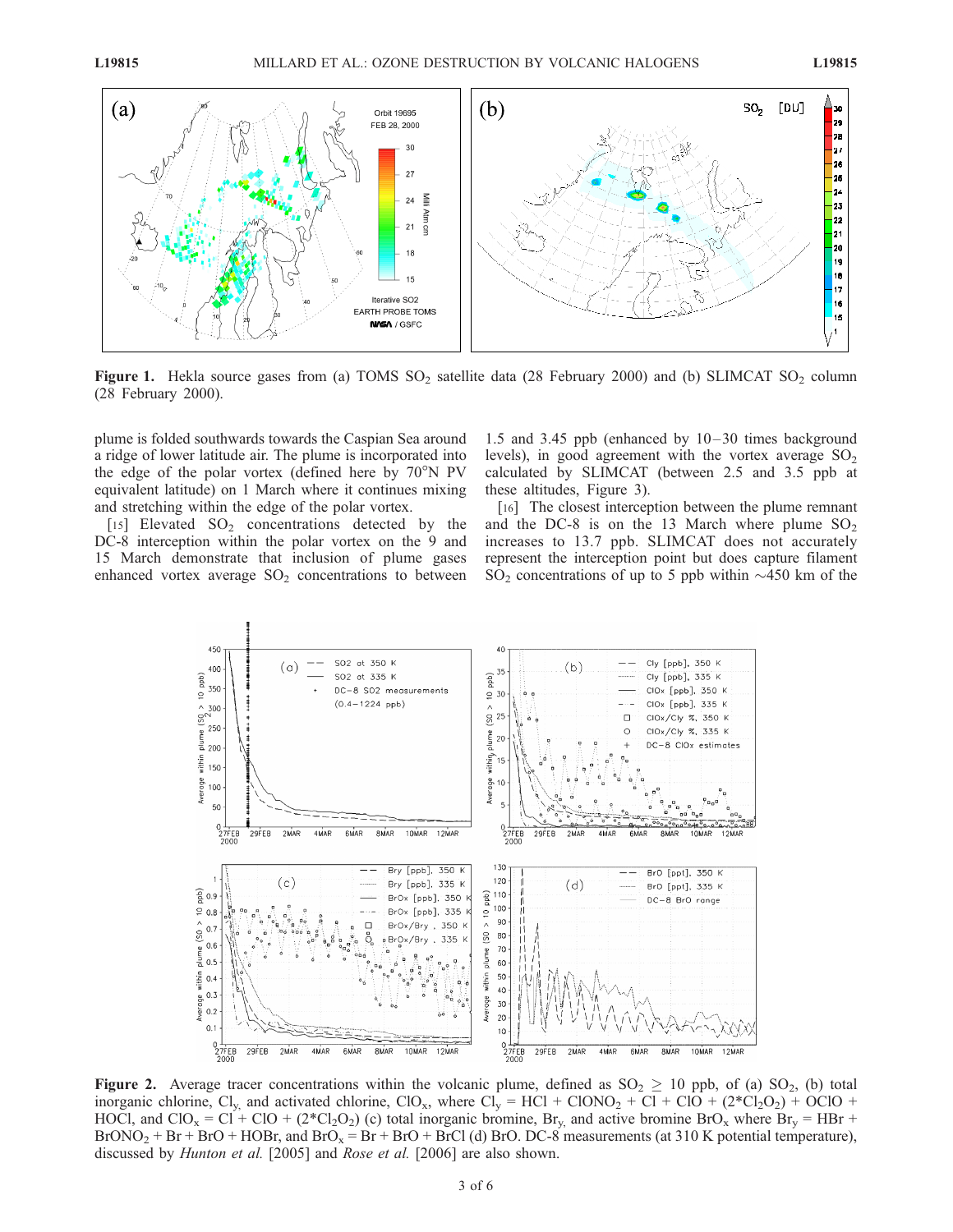

Figure 1. Hekla source gases from (a) TOMS  $SO_2$  satellite data (28 February 2000) and (b) SLIMCAT  $SO_2$  column (28 February 2000).

plume is folded southwards towards the Caspian Sea around a ridge of lower latitude air. The plume is incorporated into the edge of the polar vortex (defined here by  $70^{\circ}$ N PV equivalent latitude) on 1 March where it continues mixing and stretching within the edge of the polar vortex.

[15] Elevated  $SO<sub>2</sub>$  concentrations detected by the DC-8 interception within the polar vortex on the 9 and 15 March demonstrate that inclusion of plume gases enhanced vortex average  $SO_2$  concentrations to between

1.5 and 3.45 ppb (enhanced by  $10-30$  times background levels), in good agreement with the vortex average  $SO<sub>2</sub>$ calculated by SLIMCAT (between 2.5 and 3.5 ppb at these altitudes, Figure 3).

[16] The closest interception between the plume remnant and the DC-8 is on the 13 March where plume  $SO<sub>2</sub>$ increases to 13.7 ppb. SLIMCAT does not accurately represent the interception point but does capture filament  $SO_2$  concentrations of up to 5 ppb within  $\sim$ 450 km of the



Figure 2. Average tracer concentrations within the volcanic plume, defined as  $SO_2 \geq 10$  ppb, of (a)  $SO_2$ , (b) total inorganic chlorine, Cl<sub>y</sub> and activated chlorine, ClO<sub>x</sub>, where Cl<sub>y</sub> = HCl + ClONO<sub>2</sub> + Cl + ClO + (2<sup>\*</sup>Cl<sub>2</sub>O<sub>2</sub>) + OClO + HOCl, and ClO<sub>x</sub> = Cl<sup>+</sup> ClO + (2<sup>\*</sup>Cl<sub>2</sub>O<sub>2</sub>) (c) total inorganic bromine, Br<sub>y</sub>, and active bromine BrO<sub>x</sub> where Br<sub>y</sub> = HBr +  $BrONO<sub>2</sub> + Br + BrO + HOBr$ , and  $BrO<sub>x</sub> = Br + BrO + BrCl$  (d) BrO. DC-8 measurements (at 310 K potential temperature), discussed by *Hunton et al.* [2005] and *Rose et al.* [2006] are also shown.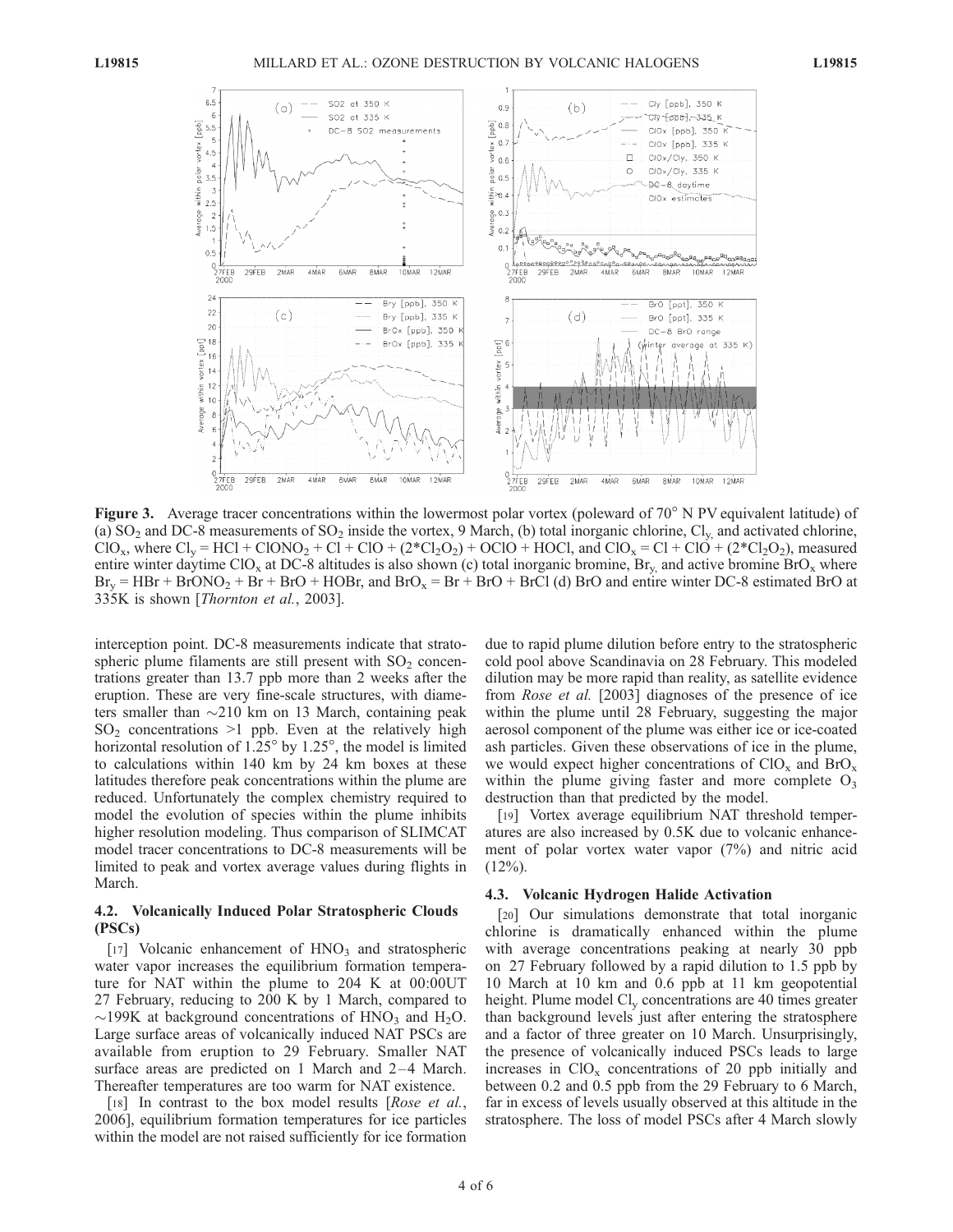

Figure 3. Average tracer concentrations within the lowermost polar vortex (poleward of  $70^{\circ}$  N PV equivalent latitude) of (a)  $SO_2$  and DC-8 measurements of  $SO_2$  inside the vortex, 9 March, (b) total inorganic chlorine,  $Cl_v$ , and activated chlorine,  $ClO<sub>x</sub>$ , where  $Cl<sub>y</sub> = HCl + ClONO<sub>2</sub> + Cl + ClO + (2*C<sub>2</sub>O<sub>2</sub>) + OClO + HOCl$ , and  $ClO<sub>x</sub> = Cl + ClO + (2*C<sub>2</sub>O<sub>2</sub>)$ , measured entire winter daytime ClO<sub>x</sub> at DC-8 altitudes is also shown (c) total inorganic bromine, Br<sub>y</sub> and active bromine BrO<sub>x</sub> where  $Br_v = HBr + BrONO_2 + Br + BrO + HOBr$ , and  $BrO_x = Br + BrO + BrCl$  (d) BrO and entire winter DC-8 estimated BrO at 335K is shown [Thornton et al., 2003].

interception point. DC-8 measurements indicate that stratospheric plume filaments are still present with  $SO<sub>2</sub>$  concentrations greater than 13.7 ppb more than 2 weeks after the eruption. These are very fine-scale structures, with diameters smaller than  $\sim$ 210 km on 13 March, containing peak  $SO<sub>2</sub>$  concentrations  $>1$  ppb. Even at the relatively high horizontal resolution of  $1.25^{\circ}$  by  $1.25^{\circ}$ , the model is limited to calculations within 140 km by 24 km boxes at these latitudes therefore peak concentrations within the plume are reduced. Unfortunately the complex chemistry required to model the evolution of species within the plume inhibits higher resolution modeling. Thus comparison of SLIMCAT model tracer concentrations to DC-8 measurements will be limited to peak and vortex average values during flights in March.

## 4.2. Volcanically Induced Polar Stratospheric Clouds (PSCs)

[17] Volcanic enhancement of  $HNO<sub>3</sub>$  and stratospheric water vapor increases the equilibrium formation temperature for NAT within the plume to 204 K at 00:00UT 27 February, reducing to 200 K by 1 March, compared to  $\sim$ 199K at background concentrations of HNO<sub>3</sub> and H<sub>2</sub>O. Large surface areas of volcanically induced NAT PSCs are available from eruption to 29 February. Smaller NAT surface areas are predicted on 1 March and 2-4 March. Thereafter temperatures are too warm for NAT existence.

[18] In contrast to the box model results [*Rose et al.*, 2006], equilibrium formation temperatures for ice particles within the model are not raised sufficiently for ice formation

due to rapid plume dilution before entry to the stratospheric cold pool above Scandinavia on 28 February. This modeled dilution may be more rapid than reality, as satellite evidence from Rose et al. [2003] diagnoses of the presence of ice within the plume until 28 February, suggesting the major aerosol component of the plume was either ice or ice-coated ash particles. Given these observations of ice in the plume, we would expect higher concentrations of  $ClO_x$  and  $BrO_x$ within the plume giving faster and more complete  $O_3$ destruction than that predicted by the model.

[19] Vortex average equilibrium NAT threshold temperatures are also increased by 0.5K due to volcanic enhancement of polar vortex water vapor (7%) and nitric acid  $(12\%)$ .

#### 4.3. Volcanic Hydrogen Halide Activation

[20] Our simulations demonstrate that total inorganic chlorine is dramatically enhanced within the plume with average concentrations peaking at nearly 30 ppb on 27 February followed by a rapid dilution to 1.5 ppb by 10 March at 10 km and 0.6 ppb at 11 km geopotential height. Plume model  $Cl_v$  concentrations are 40 times greater than background levels just after entering the stratosphere and a factor of three greater on 10 March. Unsurprisingly, the presence of volcanically induced PSCs leads to large increases in  $ClO_x$  concentrations of 20 ppb initially and between 0.2 and 0.5 ppb from the 29 February to 6 March, far in excess of levels usually observed at this altitude in the stratosphere. The loss of model PSCs after 4 March slowly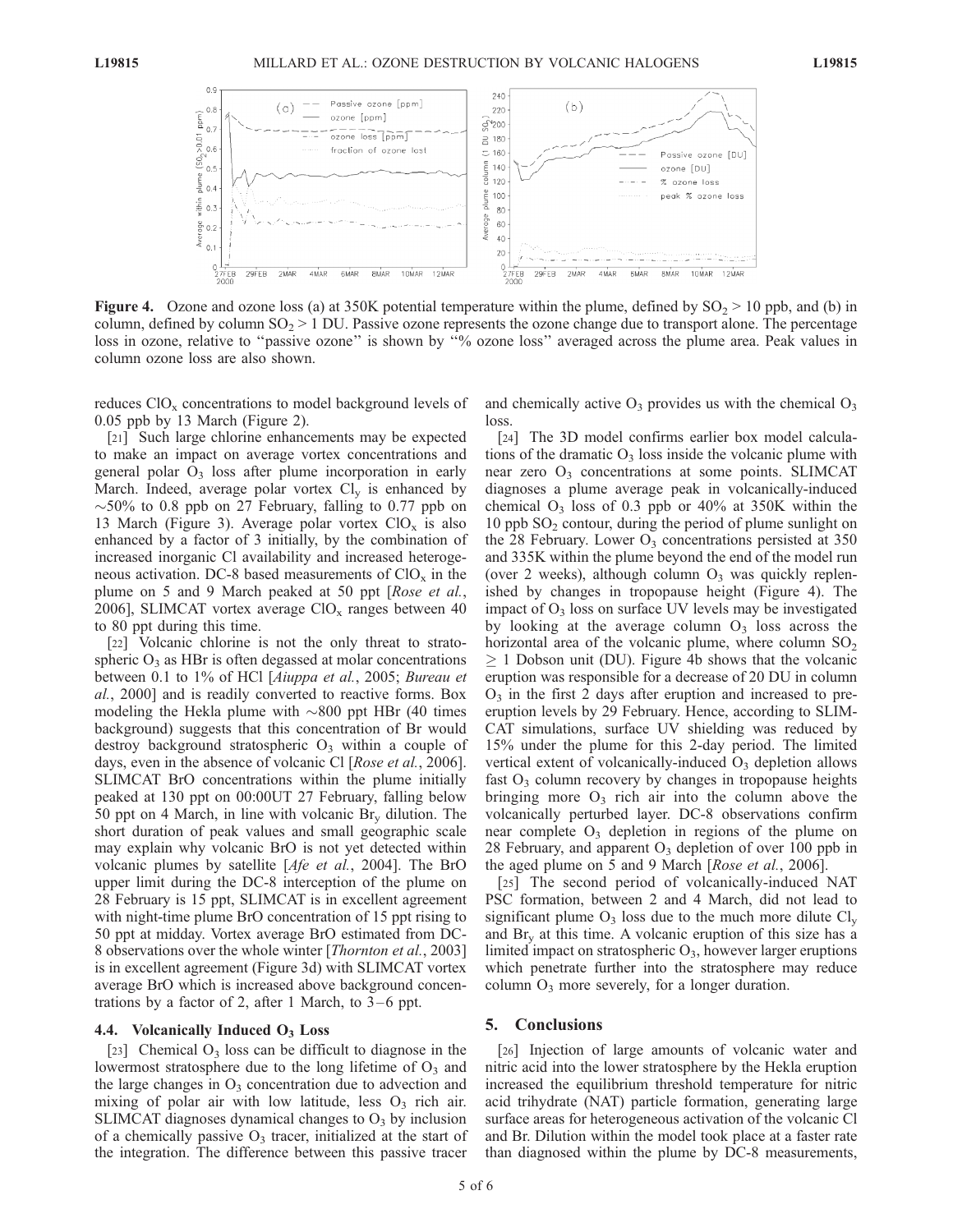

**Figure 4.** Ozone and ozone loss (a) at 350K potential temperature within the plume, defined by  $SO_2 > 10$  ppb, and (b) in column, defined by column  $SO_2 > 1$  DU. Passive ozone represents the ozone change due to transport alone. The percentage loss in ozone, relative to "passive ozone" is shown by "% ozone loss" averaged across the plume area. Peak values in column ozone loss are also shown.

reduces  $ClO<sub>x</sub>$  concentrations to model background levels of 0.05 ppb by 13 March (Figure 2).

[21] Such large chlorine enhancements may be expected to make an impact on average vortex concentrations and general polar  $O_3$  loss after plume incorporation in early March. Indeed, average polar vortex  $Cl_v$  is enhanced by  $\sim$  50% to 0.8 ppb on 27 February, falling to 0.77 ppb on 13 March (Figure 3). Average polar vortex  $ClO_x$  is also enhanced by a factor of 3 initially, by the combination of increased inorganic Cl availability and increased heterogeneous activation. DC-8 based measurements of  $ClO_x$  in the plume on 5 and 9 March peaked at 50 ppt [Rose et al., 2006], SLIMCAT vortex average  $ClO<sub>x</sub>$  ranges between 40 to 80 ppt during this time.

[22] Volcanic chlorine is not the only threat to stratospheric  $O_3$  as HBr is often degassed at molar concentrations between 0.1 to 1% of HCl [Aiuppa et al., 2005; Bureau et al., 2000] and is readily converted to reactive forms. Box modeling the Hekla plume with  $\sim 800$  ppt HBr (40 times background) suggests that this concentration of Br would destroy background stratospheric  $O_3$  within a couple of days, even in the absence of volcanic Cl [Rose et al., 2006]. SLIMCAT BrO concentrations within the plume initially peaked at 130 ppt on 00:00UT 27 February, falling below 50 ppt on 4 March, in line with volcanic  $\text{Br}_{v}$  dilution. The short duration of peak values and small geographic scale may explain why volcanic BrO is not yet detected within volcanic plumes by satellite [*Afe et al.*, 2004]. The BrO upper limit during the DC-8 interception of the plume on 28 February is 15 ppt, SLIMCAT is in excellent agreement with night-time plume BrO concentration of 15 ppt rising to 50 ppt at midday. Vortex average BrO estimated from DC-8 observations over the whole winter [Thornton et al., 2003] is in excellent agreement (Figure 3d) with SLIMCAT vortex average BrO which is increased above background concentrations by a factor of 2, after 1 March, to  $3-6$  ppt.

#### 4.4. Volcanically Induced  $O_3$  Loss

[23] Chemical  $O_3$  loss can be difficult to diagnose in the lowermost stratosphere due to the long lifetime of  $O_3$  and the large changes in  $O_3$  concentration due to advection and mixing of polar air with low latitude, less  $O_3$  rich air. SLIMCAT diagnoses dynamical changes to  $O<sub>3</sub>$  by inclusion of a chemically passive  $O_3$  tracer, initialized at the start of the integration. The difference between this passive tracer

and chemically active  $O_3$  provides us with the chemical  $O_3$ loss.

[24] The 3D model confirms earlier box model calculations of the dramatic  $O_3$  loss inside the volcanic plume with near zero  $O_3$  concentrations at some points. SLIMCAT diagnoses a plume average peak in volcanically-induced chemical  $O_3$  loss of 0.3 ppb or 40% at 350K within the 10 ppb  $SO<sub>2</sub>$  contour, during the period of plume sunlight on the 28 February. Lower  $O_3$  concentrations persisted at 350 and 335K within the plume beyond the end of the model run (over 2 weeks), although column  $O_3$  was quickly replenished by changes in tropopause height (Figure 4). The impact of  $O_3$  loss on surface UV levels may be investigated by looking at the average column  $O_3$  loss across the horizontal area of the volcanic plume, where column  $SO_2$  $\geq$  1 Dobson unit (DU). Figure 4b shows that the volcanic eruption was responsible for a decrease of 20 DU in column  $O<sub>3</sub>$  in the first 2 days after eruption and increased to preeruption levels by 29 February. Hence, according to SLIM-CAT simulations, surface UV shielding was reduced by 15% under the plume for this 2-day period. The limited vertical extent of volcanically-induced  $O_3$  depletion allows fast  $O_3$  column recovery by changes in tropopause heights bringing more  $O_3$  rich air into the column above the volcanically perturbed layer. DC-8 observations confirm near complete  $O_3$  depletion in regions of the plume on 28 February, and apparent  $O_3$  depletion of over 100 ppb in the aged plume on 5 and 9 March [Rose et al., 2006].

[25] The second period of volcanically-induced NAT PSC formation, between 2 and 4 March, did not lead to significant plume  $O_3$  loss due to the much more dilute  $Cl_v$ and  $\text{Br}_{v}$  at this time. A volcanic eruption of this size has a limited impact on stratospheric  $O_3$ , however larger eruptions which penetrate further into the stratosphere may reduce column  $O_3$  more severely, for a longer duration.

## 5. Conclusions

[26] Injection of large amounts of volcanic water and nitric acid into the lower stratosphere by the Hekla eruption increased the equilibrium threshold temperature for nitric acid trihydrate (NAT) particle formation, generating large surface areas for heterogeneous activation of the volcanic Cl and Br. Dilution within the model took place at a faster rate than diagnosed within the plume by DC-8 measurements,